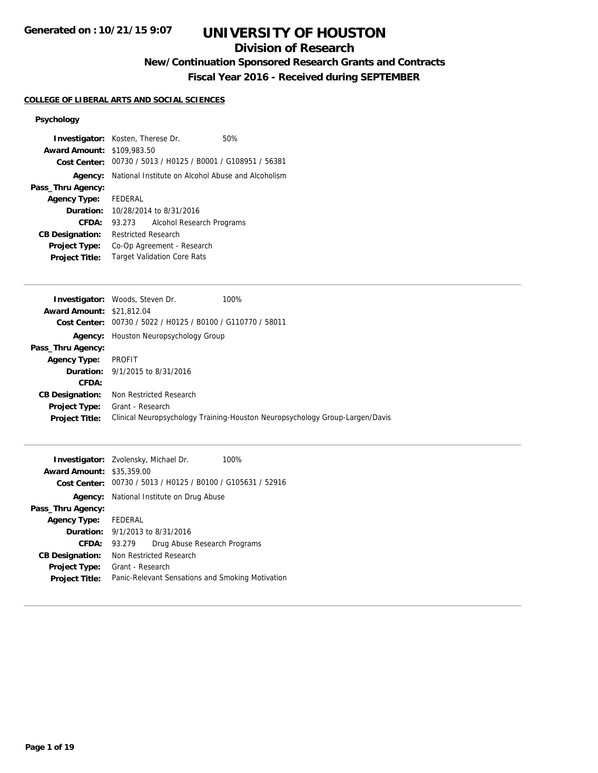### **Division of Research**

# **New/Continuation Sponsored Research Grants and Contracts**

**Fiscal Year 2016 - Received during SEPTEMBER**

### **COLLEGE OF LIBERAL ARTS AND SOCIAL SCIENCES**

### **Psychology**

| Award Amount: \$109,983.50       | <b>Investigator:</b> Kosten, Therese Dr.                    | 50%  |  |  |
|----------------------------------|-------------------------------------------------------------|------|--|--|
|                                  | Cost Center: 00730 / 5013 / H0125 / B0001 / G108951 / 56381 |      |  |  |
|                                  | Agency: National Institute on Alcohol Abuse and Alcoholism  |      |  |  |
| Pass_Thru Agency:                |                                                             |      |  |  |
| <b>Agency Type:</b>              | FEDERAL                                                     |      |  |  |
| Duration:                        | 10/28/2014 to 8/31/2016                                     |      |  |  |
| <b>CFDA:</b>                     | 93.273<br>Alcohol Research Programs                         |      |  |  |
| <b>CB Designation:</b>           | <b>Restricted Research</b>                                  |      |  |  |
| Project Type:                    | Co-Op Agreement - Research                                  |      |  |  |
| <b>Project Title:</b>            | <b>Target Validation Core Rats</b>                          |      |  |  |
|                                  |                                                             |      |  |  |
|                                  | <b>Investigator:</b> Woods, Steven Dr.                      | 100% |  |  |
| <b>Award Amount: \$21,812.04</b> |                                                             |      |  |  |
| Cost Center:                     | 00730 / 5022 / H0125 / B0100 / G110770 / 58011              |      |  |  |
| Agency:                          | Houston Neuropsychology Group                               |      |  |  |
| Pass_Thru Agency:                |                                                             |      |  |  |
| <b>Agency Type:</b>              | PROFIT                                                      |      |  |  |
| Duration:                        | 9/1/2015 to 8/31/2016                                       |      |  |  |
| CFDA:                            |                                                             |      |  |  |
| <b>CB Designation:</b>           | Non Restricted Research                                     |      |  |  |
|                                  |                                                             |      |  |  |
| Project Type:                    | Grant - Research                                            |      |  |  |

| <b>Award Amount: \$35,359.00</b> | <b>Investigator:</b> Zvolensky, Michael Dr. | 100%                                                        |
|----------------------------------|---------------------------------------------|-------------------------------------------------------------|
|                                  |                                             | Cost Center: 00730 / 5013 / H0125 / B0100 / G105631 / 52916 |
| Agency:                          | National Institute on Drug Abuse            |                                                             |
| Pass_Thru Agency:                |                                             |                                                             |
| <b>Agency Type:</b>              | FEDERAL                                     |                                                             |
|                                  | <b>Duration:</b> 9/1/2013 to 8/31/2016      |                                                             |
| CFDA:                            | 93.279                                      | Drug Abuse Research Programs                                |
| <b>CB Designation:</b>           | Non Restricted Research                     |                                                             |
| <b>Project Type:</b>             | Grant - Research                            |                                                             |
| <b>Project Title:</b>            |                                             | Panic-Relevant Sensations and Smoking Motivation            |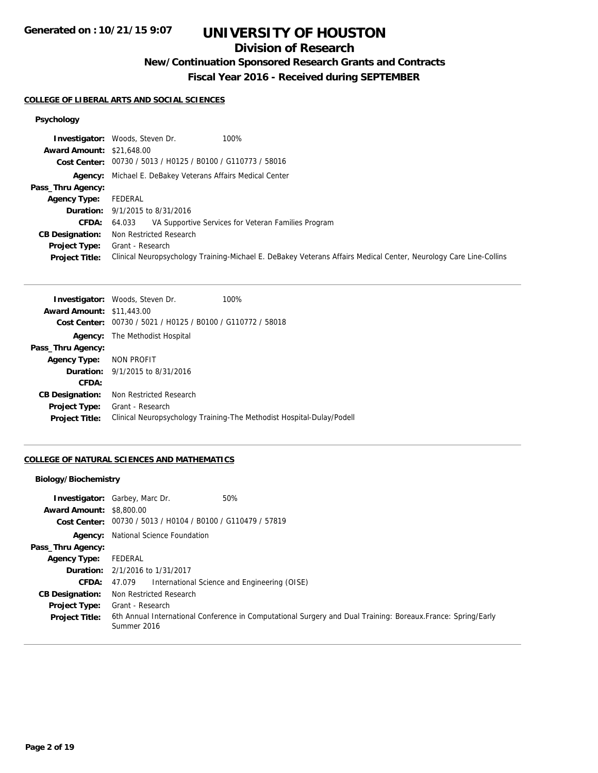## **Division of Research**

## **New/Continuation Sponsored Research Grants and Contracts**

**Fiscal Year 2016 - Received during SEPTEMBER**

### **COLLEGE OF LIBERAL ARTS AND SOCIAL SCIENCES**

## **Psychology**

|                                  | <b>Investigator:</b> Woods, Steven Dr.<br>100%                                                                    |
|----------------------------------|-------------------------------------------------------------------------------------------------------------------|
| <b>Award Amount: \$21,648.00</b> |                                                                                                                   |
|                                  | Cost Center: 00730 / 5013 / H0125 / B0100 / G110773 / 58016                                                       |
|                                  | Agency: Michael E. DeBakey Veterans Affairs Medical Center                                                        |
| Pass_Thru Agency:                |                                                                                                                   |
| <b>Agency Type:</b>              | FEDERAL                                                                                                           |
|                                  | <b>Duration:</b> 9/1/2015 to 8/31/2016                                                                            |
| CFDA:                            | VA Supportive Services for Veteran Families Program<br>64.033                                                     |
| <b>CB Designation:</b>           | Non Restricted Research                                                                                           |
| <b>Project Type:</b>             | Grant - Research                                                                                                  |
| <b>Project Title:</b>            | Clinical Neuropsychology Training-Michael E. DeBakey Veterans Affairs Medical Center, Neurology Care Line-Collins |

|                                  | <b>Investigator:</b> Woods, Steven Dr.         | 100%                                                                  |
|----------------------------------|------------------------------------------------|-----------------------------------------------------------------------|
| <b>Award Amount: \$11,443.00</b> |                                                |                                                                       |
| Cost Center:                     | 00730 / 5021 / H0125 / B0100 / G110772 / 58018 |                                                                       |
| Agency:                          | The Methodist Hospital                         |                                                                       |
| Pass_Thru Agency:                |                                                |                                                                       |
| <b>Agency Type:</b>              | NON PROFIT                                     |                                                                       |
|                                  | <b>Duration:</b> 9/1/2015 to 8/31/2016         |                                                                       |
| CFDA:                            |                                                |                                                                       |
| <b>CB Designation:</b>           | Non Restricted Research                        |                                                                       |
| <b>Project Type:</b>             | Grant - Research                               |                                                                       |
| <b>Project Title:</b>            |                                                | Clinical Neuropsychology Training-The Methodist Hospital-Dulay/Podell |

### **COLLEGE OF NATURAL SCIENCES AND MATHEMATICS**

### **Biology/Biochemistry**

| <b>Award Amount: \$8,800.00</b>               | <b>Investigator:</b> Garbey, Marc Dr.<br>50%<br>Cost Center: 00730 / 5013 / H0104 / B0100 / G110479 / 57819                                      |
|-----------------------------------------------|--------------------------------------------------------------------------------------------------------------------------------------------------|
|                                               | <b>Agency:</b> National Science Foundation                                                                                                       |
| Pass_Thru Agency:                             |                                                                                                                                                  |
| <b>Agency Type:</b>                           | FEDERAL                                                                                                                                          |
|                                               | <b>Duration:</b> 2/1/2016 to 1/31/2017                                                                                                           |
| <b>CFDA:</b>                                  | International Science and Engineering (OISE)<br>47.079                                                                                           |
| <b>CB Designation:</b>                        | Non Restricted Research                                                                                                                          |
| <b>Project Type:</b><br><b>Project Title:</b> | Grant - Research<br>6th Annual International Conference in Computational Surgery and Dual Training: Boreaux. France: Spring/Early<br>Summer 2016 |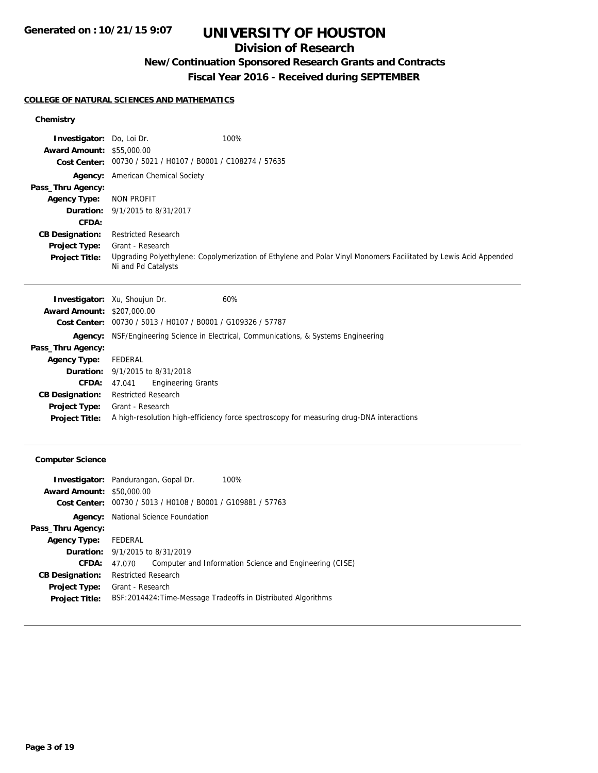### **Division of Research**

# **New/Continuation Sponsored Research Grants and Contracts**

# **Fiscal Year 2016 - Received during SEPTEMBER**

### **COLLEGE OF NATURAL SCIENCES AND MATHEMATICS**

### **Chemistry**

| <b>Investigator:</b> Do, Loi Dr. |                                                             | 100%                                                                                                             |
|----------------------------------|-------------------------------------------------------------|------------------------------------------------------------------------------------------------------------------|
| <b>Award Amount: \$55,000.00</b> |                                                             |                                                                                                                  |
|                                  | Cost Center: 00730 / 5021 / H0107 / B0001 / C108274 / 57635 |                                                                                                                  |
|                                  | <b>Agency:</b> American Chemical Society                    |                                                                                                                  |
| Pass_Thru Agency:                |                                                             |                                                                                                                  |
| <b>Agency Type:</b>              | NON PROFIT                                                  |                                                                                                                  |
|                                  | <b>Duration:</b> 9/1/2015 to 8/31/2017                      |                                                                                                                  |
| CFDA:                            |                                                             |                                                                                                                  |
| <b>CB Designation:</b>           | <b>Restricted Research</b>                                  |                                                                                                                  |
| <b>Project Type:</b>             | Grant - Research                                            |                                                                                                                  |
| <b>Project Title:</b>            | Ni and Pd Catalysts                                         | Upgrading Polyethylene: Copolymerization of Ethylene and Polar Vinyl Monomers Facilitated by Lewis Acid Appended |

|                                   | <b>Investigator:</b> Xu, Shoujun Dr.                        | 60%                                                                                      |
|-----------------------------------|-------------------------------------------------------------|------------------------------------------------------------------------------------------|
| <b>Award Amount: \$207,000.00</b> |                                                             |                                                                                          |
|                                   | Cost Center: 00730 / 5013 / H0107 / B0001 / G109326 / 57787 |                                                                                          |
| Agency:                           |                                                             | NSF/Engineering Science in Electrical, Communications, & Systems Engineering             |
| Pass_Thru Agency:                 |                                                             |                                                                                          |
| <b>Agency Type:</b>               | FEDERAL                                                     |                                                                                          |
|                                   | <b>Duration:</b> 9/1/2015 to 8/31/2018                      |                                                                                          |
| <b>CFDA:</b>                      | <b>Engineering Grants</b><br>47.041                         |                                                                                          |
| <b>CB Designation:</b>            | <b>Restricted Research</b>                                  |                                                                                          |
| Project Type:                     | Grant - Research                                            |                                                                                          |
| <b>Project Title:</b>             |                                                             | A high-resolution high-efficiency force spectroscopy for measuring drug-DNA interactions |
|                                   |                                                             |                                                                                          |

### **Computer Science**

|                                  | <b>Investigator:</b> Pandurangan, Gopal Dr.<br>100%               |
|----------------------------------|-------------------------------------------------------------------|
| <b>Award Amount: \$50,000.00</b> |                                                                   |
| Cost Center:                     | 00730 / 5013 / H0108 / B0001 / G109881 / 57763                    |
| Agency:                          | National Science Foundation                                       |
| Pass_Thru Agency:                |                                                                   |
| Agency Type: FEDERAL             |                                                                   |
|                                  | <b>Duration:</b> 9/1/2015 to 8/31/2019                            |
| CFDA:                            | Computer and Information Science and Engineering (CISE)<br>47.070 |
| <b>CB Designation:</b>           | <b>Restricted Research</b>                                        |
| <b>Project Type:</b>             | Grant - Research                                                  |
| <b>Project Title:</b>            | BSF:2014424: Time-Message Tradeoffs in Distributed Algorithms     |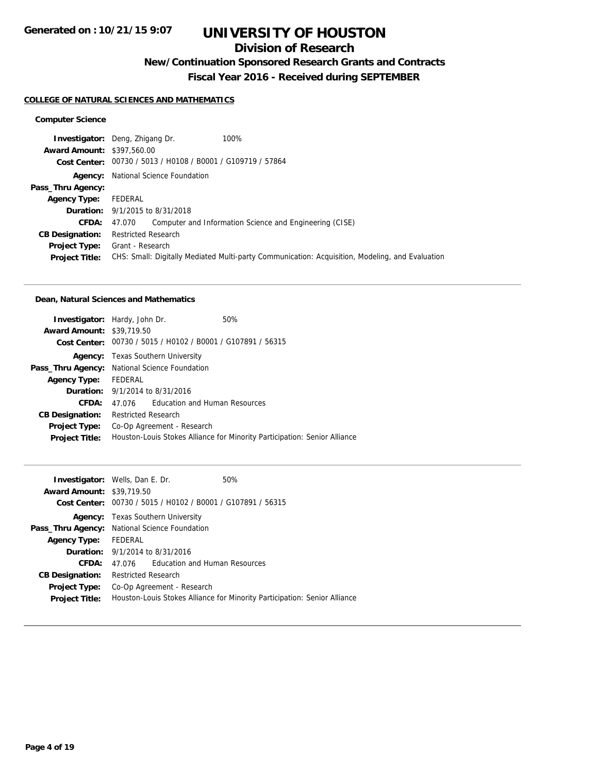### **Division of Research**

# **New/Continuation Sponsored Research Grants and Contracts**

**Fiscal Year 2016 - Received during SEPTEMBER**

#### **COLLEGE OF NATURAL SCIENCES AND MATHEMATICS**

### **Computer Science**

|                                   | 100%<br><b>Investigator:</b> Deng, Zhigang Dr.                                                  |
|-----------------------------------|-------------------------------------------------------------------------------------------------|
| <b>Award Amount: \$397,560.00</b> |                                                                                                 |
|                                   | Cost Center: 00730 / 5013 / H0108 / B0001 / G109719 / 57864                                     |
| Agency:                           | National Science Foundation                                                                     |
| Pass_Thru Agency:                 |                                                                                                 |
| <b>Agency Type:</b>               | FEDERAL                                                                                         |
|                                   | <b>Duration:</b> 9/1/2015 to 8/31/2018                                                          |
| <b>CFDA:</b>                      | Computer and Information Science and Engineering (CISE)<br>47.070                               |
| <b>CB Designation:</b>            | <b>Restricted Research</b>                                                                      |
| <b>Project Type:</b>              | Grant - Research                                                                                |
| <b>Project Title:</b>             | CHS: Small: Digitally Mediated Multi-party Communication: Acquisition, Modeling, and Evaluation |
|                                   |                                                                                                 |

#### **Dean, Natural Sciences and Mathematics**

| <b>Investigator:</b> Hardy, John Dr.<br><b>Award Amount: \$39,719.50</b> |                                                                           | Cost Center: 00730 / 5015 / H0102 / B0001 / G107891 / 56315 | 50% |
|--------------------------------------------------------------------------|---------------------------------------------------------------------------|-------------------------------------------------------------|-----|
|                                                                          |                                                                           | <b>Agency:</b> Texas Southern University                    |     |
|                                                                          | Pass_Thru Agency: National Science Foundation                             |                                                             |     |
| <b>Agency Type:</b>                                                      | FEDERAL                                                                   |                                                             |     |
|                                                                          |                                                                           | <b>Duration:</b> 9/1/2014 to 8/31/2016                      |     |
| CFDA:                                                                    | 47.076                                                                    | Education and Human Resources                               |     |
| <b>CB Designation:</b>                                                   | <b>Restricted Research</b>                                                |                                                             |     |
| Project Type:                                                            |                                                                           | Co-Op Agreement - Research                                  |     |
| <b>Project Title:</b>                                                    | Houston-Louis Stokes Alliance for Minority Participation: Senior Alliance |                                                             |     |

| <b>Investigator:</b> Wells, Dan E. Dr.<br><b>Award Amount: \$39,719.50</b> |                                                                           |                                                             | 50% |
|----------------------------------------------------------------------------|---------------------------------------------------------------------------|-------------------------------------------------------------|-----|
|                                                                            |                                                                           | Cost Center: 00730 / 5015 / H0102 / B0001 / G107891 / 56315 |     |
|                                                                            | <b>Agency:</b> Texas Southern University                                  |                                                             |     |
|                                                                            | Pass_Thru Agency: National Science Foundation                             |                                                             |     |
| <b>Agency Type:</b>                                                        | FEDERAL                                                                   |                                                             |     |
|                                                                            | <b>Duration:</b> 9/1/2014 to 8/31/2016                                    |                                                             |     |
| CFDA:                                                                      |                                                                           | 47.076 Education and Human Resources                        |     |
| <b>CB Designation:</b>                                                     | Restricted Research                                                       |                                                             |     |
| <b>Project Type:</b>                                                       | Co-Op Agreement - Research                                                |                                                             |     |
| <b>Project Title:</b>                                                      | Houston-Louis Stokes Alliance for Minority Participation: Senior Alliance |                                                             |     |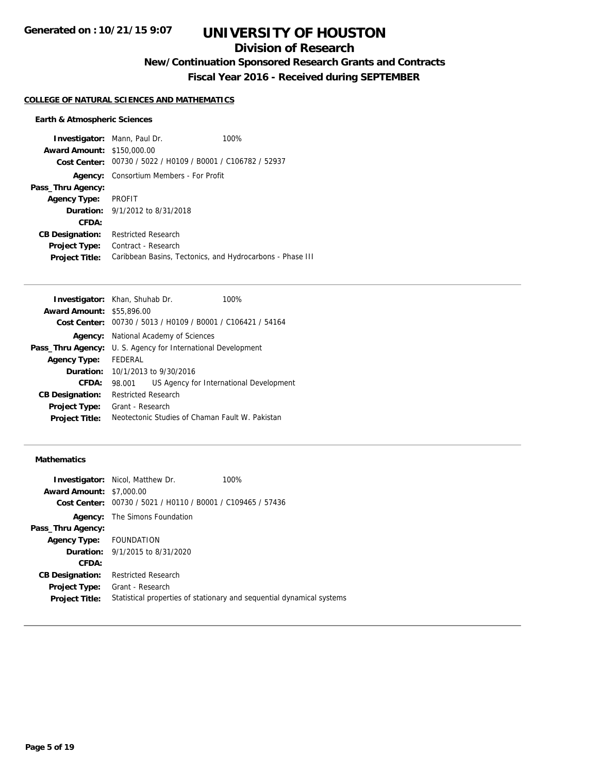### **Division of Research**

**New/Continuation Sponsored Research Grants and Contracts**

**Fiscal Year 2016 - Received during SEPTEMBER**

#### **COLLEGE OF NATURAL SCIENCES AND MATHEMATICS**

### **Earth & Atmospheric Sciences**

| <b>Award Amount: \$150,000.00</b> | <b>Investigator:</b> Mann, Paul Dr.<br>Cost Center: 00730 / 5022 / H0109 / B0001 / C106782 / 52937 | 100% |
|-----------------------------------|----------------------------------------------------------------------------------------------------|------|
|                                   |                                                                                                    |      |
| Agency:                           | Consortium Members - For Profit                                                                    |      |
| Pass_Thru Agency:                 |                                                                                                    |      |
| <b>Agency Type:</b>               | PROFIT                                                                                             |      |
|                                   | <b>Duration:</b> 9/1/2012 to 8/31/2018                                                             |      |
| CFDA:                             |                                                                                                    |      |
| <b>CB Designation:</b>            | <b>Restricted Research</b>                                                                         |      |
| <b>Project Type:</b>              | Contract - Research                                                                                |      |
| <b>Project Title:</b>             | Caribbean Basins, Tectonics, and Hydrocarbons - Phase III                                          |      |

| <b>Investigator:</b> Khan, Shuhab Dr. |                                             |                                                             | 100%                                    |
|---------------------------------------|---------------------------------------------|-------------------------------------------------------------|-----------------------------------------|
| <b>Award Amount: \$55,896.00</b>      |                                             |                                                             |                                         |
|                                       |                                             | Cost Center: 00730 / 5013 / H0109 / B0001 / C106421 / 54164 |                                         |
| Agency:                               |                                             | National Academy of Sciences                                |                                         |
| Pass_Thru Agency:                     |                                             | U. S. Agency for International Development                  |                                         |
| <b>Agency Type:</b>                   | <b>FFDFRAL</b>                              |                                                             |                                         |
|                                       | <b>Duration:</b> $10/1/2013$ to $9/30/2016$ |                                                             |                                         |
| CFDA:                                 | 98.001                                      |                                                             | US Agency for International Development |
| <b>CB Designation:</b>                | <b>Restricted Research</b>                  |                                                             |                                         |
| <b>Project Type:</b>                  | Grant - Research                            |                                                             |                                         |
| <b>Project Title:</b>                 |                                             | Neotectonic Studies of Chaman Fault W. Pakistan             |                                         |

### **Mathematics**

|                                 | <b>Investigator:</b> Nicol, Matthew Dr.        | 100%                                                                  |
|---------------------------------|------------------------------------------------|-----------------------------------------------------------------------|
| <b>Award Amount: \$7,000.00</b> |                                                |                                                                       |
| Cost Center:                    | 00730 / 5021 / H0110 / B0001 / C109465 / 57436 |                                                                       |
| Agency:                         | The Simons Foundation                          |                                                                       |
| Pass_Thru Agency:               |                                                |                                                                       |
| Agency Type: FOUNDATION         |                                                |                                                                       |
|                                 | <b>Duration:</b> 9/1/2015 to 8/31/2020         |                                                                       |
| CFDA:                           |                                                |                                                                       |
| <b>CB Designation:</b>          | <b>Restricted Research</b>                     |                                                                       |
| <b>Project Type:</b>            | Grant - Research                               |                                                                       |
| <b>Project Title:</b>           |                                                | Statistical properties of stationary and sequential dynamical systems |
|                                 |                                                |                                                                       |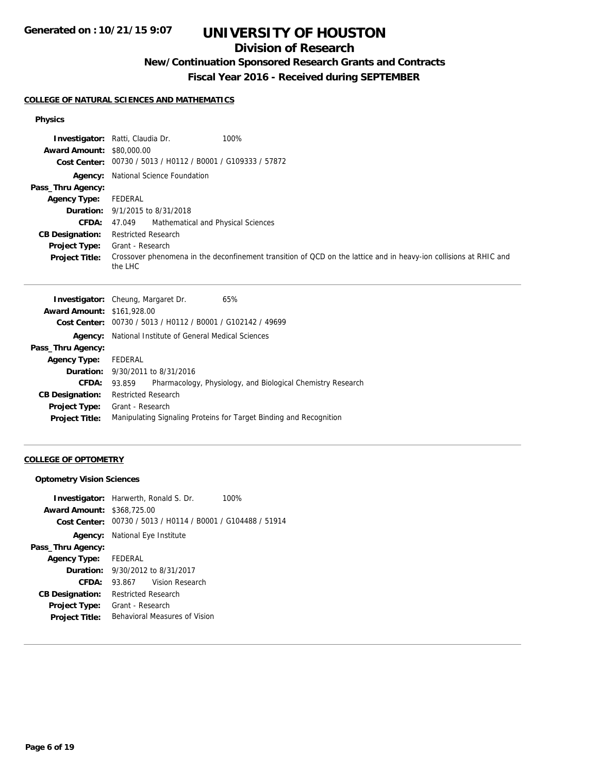## **Division of Research**

## **New/Continuation Sponsored Research Grants and Contracts**

**Fiscal Year 2016 - Received during SEPTEMBER**

#### **COLLEGE OF NATURAL SCIENCES AND MATHEMATICS**

### **Physics**

|                                  | <b>Investigator:</b> Ratti, Claudia Dr.<br>100%                                                                              |
|----------------------------------|------------------------------------------------------------------------------------------------------------------------------|
| <b>Award Amount: \$80,000.00</b> |                                                                                                                              |
|                                  | Cost Center: 00730 / 5013 / H0112 / B0001 / G109333 / 57872                                                                  |
|                                  | <b>Agency:</b> National Science Foundation                                                                                   |
| Pass_Thru Agency:                |                                                                                                                              |
| <b>Agency Type:</b>              | FEDERAL                                                                                                                      |
|                                  | <b>Duration:</b> 9/1/2015 to 8/31/2018                                                                                       |
| <b>CFDA:</b>                     | Mathematical and Physical Sciences<br>47.049                                                                                 |
| <b>CB Designation:</b>           | <b>Restricted Research</b>                                                                                                   |
| Project Type:                    | Grant - Research                                                                                                             |
| <b>Project Title:</b>            | Crossover phenomena in the deconfinement transition of QCD on the lattice and in heavy-ion collisions at RHIC and<br>the LHC |

|                                   | <b>Investigator:</b> Cheung, Margaret Dr.                   | 65%                                                                |
|-----------------------------------|-------------------------------------------------------------|--------------------------------------------------------------------|
| <b>Award Amount: \$161,928.00</b> |                                                             |                                                                    |
|                                   | Cost Center: 00730 / 5013 / H0112 / B0001 / G102142 / 49699 |                                                                    |
| Agency:                           | National Institute of General Medical Sciences              |                                                                    |
| Pass_Thru Agency:                 |                                                             |                                                                    |
| <b>Agency Type:</b>               | FEDERAL                                                     |                                                                    |
|                                   | <b>Duration:</b> 9/30/2011 to 8/31/2016                     |                                                                    |
| CFDA:                             | 93.859                                                      | Pharmacology, Physiology, and Biological Chemistry Research        |
| <b>CB Designation:</b>            | <b>Restricted Research</b>                                  |                                                                    |
| <b>Project Type:</b>              | Grant - Research                                            |                                                                    |
| <b>Project Title:</b>             |                                                             | Manipulating Signaling Proteins for Target Binding and Recognition |
|                                   |                                                             |                                                                    |

### **COLLEGE OF OPTOMETRY**

### **Optometry Vision Sciences**

|                                   | <b>Investigator:</b> Harwerth, Ronald S. Dr.   | 100% |
|-----------------------------------|------------------------------------------------|------|
| <b>Award Amount: \$368,725.00</b> |                                                |      |
| Cost Center:                      | 00730 / 5013 / H0114 / B0001 / G104488 / 51914 |      |
|                                   | <b>Agency:</b> National Eye Institute          |      |
| Pass_Thru Agency:                 |                                                |      |
| Agency Type: FEDERAL              |                                                |      |
|                                   | <b>Duration:</b> $9/30/2012$ to $8/31/2017$    |      |
| CFDA:                             | Vision Research<br>93.867                      |      |
| <b>CB Designation:</b>            | <b>Restricted Research</b>                     |      |
| Project Type:                     | Grant - Research                               |      |
| <b>Project Title:</b>             | Behavioral Measures of Vision                  |      |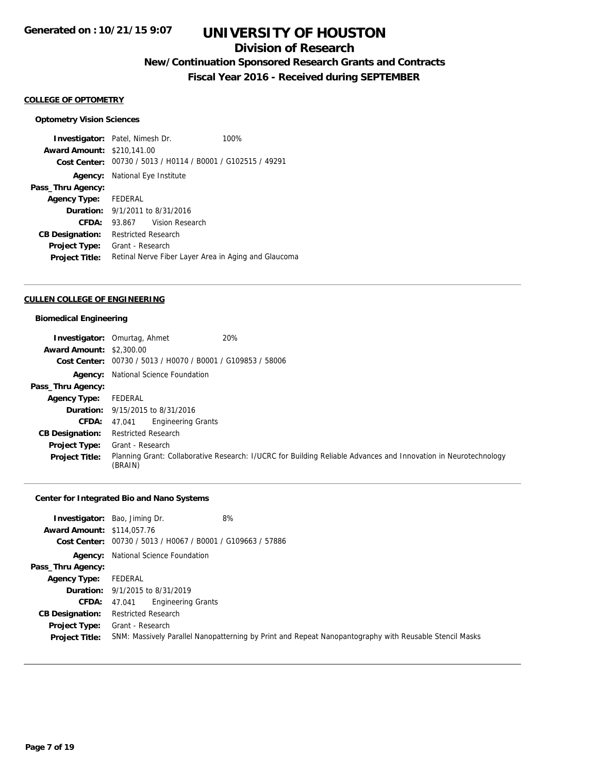### **Division of Research**

## **New/Continuation Sponsored Research Grants and Contracts**

**Fiscal Year 2016 - Received during SEPTEMBER**

#### **COLLEGE OF OPTOMETRY**

#### **Optometry Vision Sciences**

**Investigator:** Patel, Nimesh Dr. 100% **Award Amount:** \$210,141.00 **Cost Center:** 00730 / 5013 / H0114 / B0001 / G102515 / 49291 **Agency:** National Eye Institute **Pass\_Thru Agency: Agency Type:** FEDERAL **Duration:** 9/1/2011 to 8/31/2016 **CFDA:** 93.867 Vision Research **CB Designation:** Restricted Research **Project Type:** Grant - Research **Project Title:** Retinal Nerve Fiber Layer Area in Aging and Glaucoma

#### **CULLEN COLLEGE OF ENGINEERING**

#### **Biomedical Engineering**

|                                 | 20%<br><b>Investigator: Omurtag, Ahmet</b>                                                                                 |
|---------------------------------|----------------------------------------------------------------------------------------------------------------------------|
| <b>Award Amount: \$2,300.00</b> |                                                                                                                            |
| Cost Center:                    | 00730 / 5013 / H0070 / B0001 / G109853 / 58006                                                                             |
| Agency:                         | National Science Foundation                                                                                                |
| Pass_Thru Agency:               |                                                                                                                            |
| <b>Agency Type:</b>             | FEDERAL                                                                                                                    |
|                                 | <b>Duration:</b> 9/15/2015 to 8/31/2016                                                                                    |
| CFDA:                           | <b>Engineering Grants</b><br>47.041                                                                                        |
| <b>CB Designation:</b>          | <b>Restricted Research</b>                                                                                                 |
| <b>Project Type:</b>            | Grant - Research                                                                                                           |
| <b>Project Title:</b>           | Planning Grant: Collaborative Research: I/UCRC for Building Reliable Advances and Innovation in Neurotechnology<br>(BRAIN) |

### **Center for Integrated Bio and Nano Systems**

|                                   | 8%<br><b>Investigator:</b> Bao, Jiming Dr.                                                             |
|-----------------------------------|--------------------------------------------------------------------------------------------------------|
| <b>Award Amount: \$114,057.76</b> |                                                                                                        |
|                                   | Cost Center: 00730 / 5013 / H0067 / B0001 / G109663 / 57886                                            |
|                                   | <b>Agency:</b> National Science Foundation                                                             |
| Pass_Thru Agency:                 |                                                                                                        |
| <b>Agency Type:</b>               | FEDERAL                                                                                                |
|                                   | <b>Duration:</b> 9/1/2015 to 8/31/2019                                                                 |
|                                   | <b>Engineering Grants</b><br><b>CFDA:</b> 47.041                                                       |
| <b>CB Designation:</b>            | <b>Restricted Research</b>                                                                             |
| <b>Project Type:</b>              | Grant - Research                                                                                       |
| <b>Project Title:</b>             | SNM: Massively Parallel Nanopatterning by Print and Repeat Nanopantography with Reusable Stencil Masks |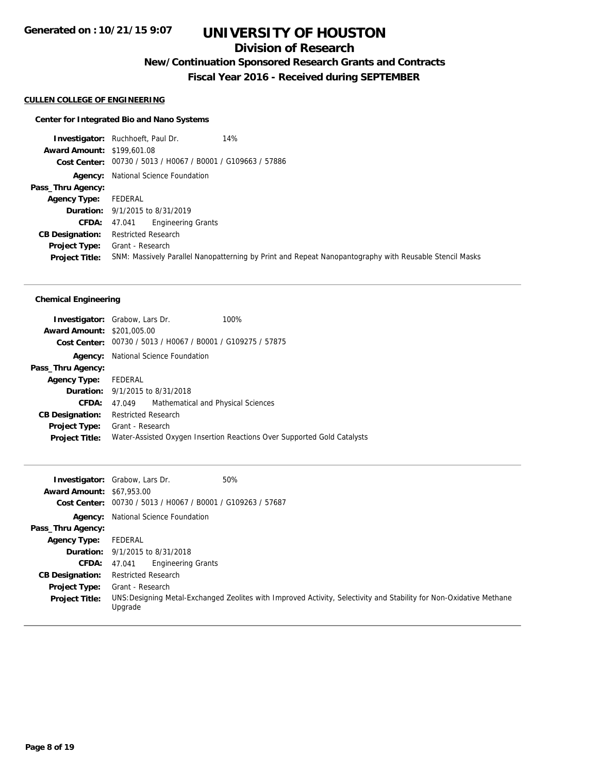### **Division of Research**

### **New/Continuation Sponsored Research Grants and Contracts**

**Fiscal Year 2016 - Received during SEPTEMBER**

#### **CULLEN COLLEGE OF ENGINEERING**

#### **Center for Integrated Bio and Nano Systems**

**Investigator:** Ruchhoeft, Paul Dr. 14% **Award Amount:** \$199,601.08 **Cost Center:** 00730 / 5013 / H0067 / B0001 / G109663 / 57886 **Agency:** National Science Foundation **Pass\_Thru Agency: Agency Type:** FEDERAL **Duration:** 9/1/2015 to 8/31/2019 **CFDA:** 47.041 Engineering Grants **CB Designation:** Restricted Research **Project Type:** Grant - Research **Project Title:** SNM: Massively Parallel Nanopatterning by Print and Repeat Nanopantography with Reusable Stencil Masks

### **Chemical Engineering**

| <b>Investigator:</b> Grabow, Lars Dr. |                            |                                                             | 100%                                                                    |
|---------------------------------------|----------------------------|-------------------------------------------------------------|-------------------------------------------------------------------------|
| <b>Award Amount: \$201,005.00</b>     |                            |                                                             |                                                                         |
|                                       |                            | Cost Center: 00730 / 5013 / H0067 / B0001 / G109275 / 57875 |                                                                         |
|                                       |                            | <b>Agency:</b> National Science Foundation                  |                                                                         |
| Pass_Thru Agency:                     |                            |                                                             |                                                                         |
| Agency Type: FEDERAL                  |                            |                                                             |                                                                         |
|                                       |                            | <b>Duration:</b> 9/1/2015 to 8/31/2018                      |                                                                         |
| CFDA:                                 |                            | 47.049 Mathematical and Physical Sciences                   |                                                                         |
| <b>CB Designation:</b>                | <b>Restricted Research</b> |                                                             |                                                                         |
| Project Type:                         | Grant - Research           |                                                             |                                                                         |
| <b>Project Title:</b>                 |                            |                                                             | Water-Assisted Oxygen Insertion Reactions Over Supported Gold Catalysts |
|                                       |                            |                                                             |                                                                         |

| <b>Award Amount: \$67,953.00</b> | 50%<br><b>Investigator:</b> Grabow, Lars Dr.<br>Cost Center: 00730 / 5013 / H0067 / B0001 / G109263 / 57687                    |
|----------------------------------|--------------------------------------------------------------------------------------------------------------------------------|
| Agency:                          | National Science Foundation                                                                                                    |
| Pass_Thru Agency:                |                                                                                                                                |
| <b>Agency Type:</b>              | FEDERAL                                                                                                                        |
|                                  | <b>Duration:</b> 9/1/2015 to 8/31/2018                                                                                         |
| <b>CFDA:</b>                     | Engineering Grants<br>47.041                                                                                                   |
| <b>CB Designation:</b>           | <b>Restricted Research</b>                                                                                                     |
| Project Type:                    | Grant - Research                                                                                                               |
| <b>Project Title:</b>            | UNS: Designing Metal-Exchanged Zeolites with Improved Activity, Selectivity and Stability for Non-Oxidative Methane<br>Upgrade |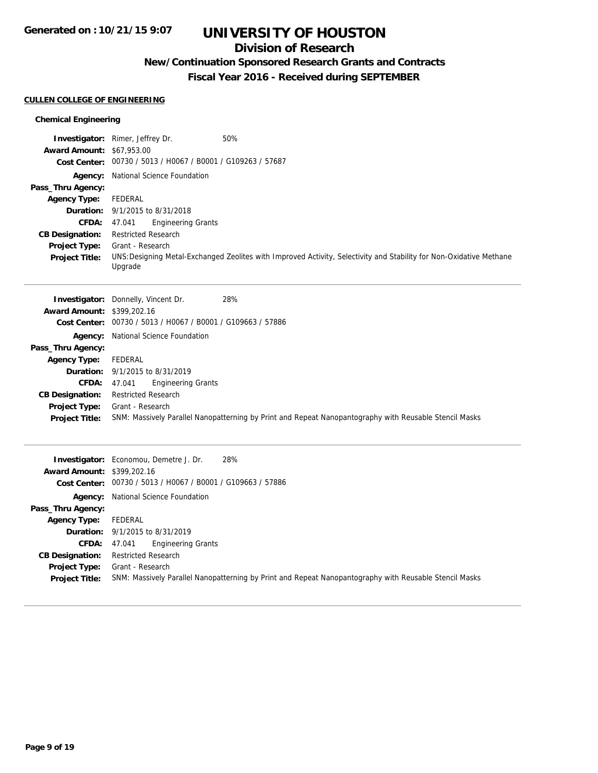### **Division of Research**

# **New/Continuation Sponsored Research Grants and Contracts**

**Fiscal Year 2016 - Received during SEPTEMBER**

#### **CULLEN COLLEGE OF ENGINEERING**

### **Chemical Engineering**

|                                   | <b>Investigator:</b> Rimer, Jeffrey Dr.                     | 50%                                                                                                                 |
|-----------------------------------|-------------------------------------------------------------|---------------------------------------------------------------------------------------------------------------------|
| <b>Award Amount: \$67,953.00</b>  | Cost Center: 00730 / 5013 / H0067 / B0001 / G109263 / 57687 |                                                                                                                     |
|                                   | Agency: National Science Foundation                         |                                                                                                                     |
| Pass_Thru Agency:                 |                                                             |                                                                                                                     |
| <b>Agency Type:</b>               | FEDERAL                                                     |                                                                                                                     |
|                                   | <b>Duration:</b> 9/1/2015 to 8/31/2018                      |                                                                                                                     |
| <b>CFDA:</b>                      | <b>Engineering Grants</b><br>47.041                         |                                                                                                                     |
| <b>CB Designation:</b>            | <b>Restricted Research</b>                                  |                                                                                                                     |
| <b>Project Type:</b>              | Grant - Research                                            |                                                                                                                     |
| <b>Project Title:</b>             | Upgrade                                                     | UNS: Designing Metal-Exchanged Zeolites with Improved Activity, Selectivity and Stability for Non-Oxidative Methane |
|                                   |                                                             |                                                                                                                     |
|                                   |                                                             |                                                                                                                     |
|                                   |                                                             | 28%                                                                                                                 |
| <b>Award Amount: \$399,202.16</b> | <b>Investigator:</b> Donnelly, Vincent Dr.                  |                                                                                                                     |
| <b>Cost Center:</b>               | 00730 / 5013 / H0067 / B0001 / G109663 / 57886              |                                                                                                                     |
| Agency:                           | National Science Foundation                                 |                                                                                                                     |
| Pass_Thru Agency:                 |                                                             |                                                                                                                     |
| <b>Agency Type:</b>               | FEDERAL                                                     |                                                                                                                     |
| Duration:                         | 9/1/2015 to 8/31/2019                                       |                                                                                                                     |
| <b>CFDA:</b>                      | <b>Engineering Grants</b><br>47.041                         |                                                                                                                     |
| <b>CB Designation:</b>            | <b>Restricted Research</b>                                  |                                                                                                                     |

**Project Title:** SNM: Massively Parallel Nanopatterning by Print and Repeat Nanopantography with Reusable Stencil Masks

| <b>Award Amount: \$399,202.16</b> | 28%<br><b>Investigator:</b> Economou, Demetre J. Dr.<br>Cost Center: 00730 / 5013 / H0067 / B0001 / G109663 / 57886 |
|-----------------------------------|---------------------------------------------------------------------------------------------------------------------|
|                                   | <b>Agency:</b> National Science Foundation                                                                          |
| Pass_Thru Agency:                 |                                                                                                                     |
| Agency Type:                      | FEDERAL                                                                                                             |
|                                   | <b>Duration:</b> 9/1/2015 to 8/31/2019                                                                              |
| <b>CFDA:</b>                      | <b>Engineering Grants</b><br>47.041                                                                                 |
| <b>CB Designation:</b>            | <b>Restricted Research</b>                                                                                          |
| <b>Project Type:</b>              | Grant - Research                                                                                                    |
| <b>Project Title:</b>             | SNM: Massively Parallel Nanopatterning by Print and Repeat Nanopantography with Reusable Stencil Masks              |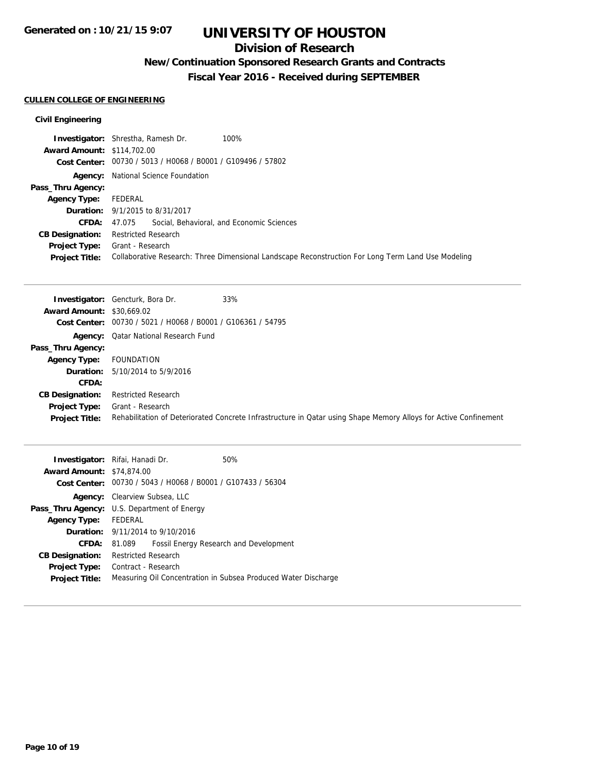### **Division of Research**

# **New/Continuation Sponsored Research Grants and Contracts**

**Fiscal Year 2016 - Received during SEPTEMBER**

### **CULLEN COLLEGE OF ENGINEERING**

### **Civil Engineering**

|                                   | <b>Investigator:</b> Shrestha, Ramesh Dr.<br>100%                                                  |
|-----------------------------------|----------------------------------------------------------------------------------------------------|
| <b>Award Amount: \$114,702.00</b> |                                                                                                    |
|                                   | Cost Center: 00730 / 5013 / H0068 / B0001 / G109496 / 57802                                        |
|                                   | <b>Agency:</b> National Science Foundation                                                         |
| Pass_Thru Agency:                 |                                                                                                    |
| <b>Agency Type:</b>               | FEDERAL                                                                                            |
|                                   | <b>Duration:</b> 9/1/2015 to 8/31/2017                                                             |
|                                   | <b>CFDA:</b> 47.075 Social, Behavioral, and Economic Sciences                                      |
| <b>CB Designation:</b>            | <b>Restricted Research</b>                                                                         |
| <b>Project Type:</b>              | Grant - Research                                                                                   |
| <b>Project Title:</b>             | Collaborative Research: Three Dimensional Landscape Reconstruction For Long Term Land Use Modeling |

|                                  | <b>Investigator:</b> Gencturk, Bora Dr.                     | 33%                                                                                                              |
|----------------------------------|-------------------------------------------------------------|------------------------------------------------------------------------------------------------------------------|
| <b>Award Amount: \$30,669.02</b> |                                                             |                                                                                                                  |
|                                  | Cost Center: 00730 / 5021 / H0068 / B0001 / G106361 / 54795 |                                                                                                                  |
|                                  | <b>Agency:</b> Qatar National Research Fund                 |                                                                                                                  |
| Pass_Thru Agency:                |                                                             |                                                                                                                  |
| <b>Agency Type:</b>              | FOUNDATION                                                  |                                                                                                                  |
|                                  | <b>Duration:</b> $5/10/2014$ to $5/9/2016$                  |                                                                                                                  |
| CFDA:                            |                                                             |                                                                                                                  |
| <b>CB Designation:</b>           | <b>Restricted Research</b>                                  |                                                                                                                  |
| <b>Project Type:</b>             | Grant - Research                                            |                                                                                                                  |
| <b>Project Title:</b>            |                                                             | Rehabilitation of Deteriorated Concrete Infrastructure in Qatar using Shape Memory Alloys for Active Confinement |

| <b>Investigator:</b> Rifai, Hanadi Dr.             |                            |                                                | 50%                                                            |
|----------------------------------------------------|----------------------------|------------------------------------------------|----------------------------------------------------------------|
| <b>Award Amount: \$74,874,00</b>                   |                            |                                                |                                                                |
| Cost Center:                                       |                            | 00730 / 5043 / H0068 / B0001 / G107433 / 56304 |                                                                |
|                                                    |                            | <b>Agency:</b> Clearview Subsea, LLC           |                                                                |
| <b>Pass_Thru Agency:</b> U.S. Department of Energy |                            |                                                |                                                                |
| <b>Agency Type:</b>                                | FEDERAL                    |                                                |                                                                |
|                                                    |                            | <b>Duration:</b> 9/11/2014 to 9/10/2016        |                                                                |
| CFDA:                                              | 81.089                     |                                                | Fossil Energy Research and Development                         |
| <b>CB Designation:</b>                             | <b>Restricted Research</b> |                                                |                                                                |
| Project Type:                                      | Contract - Research        |                                                |                                                                |
| <b>Project Title:</b>                              |                            |                                                | Measuring Oil Concentration in Subsea Produced Water Discharge |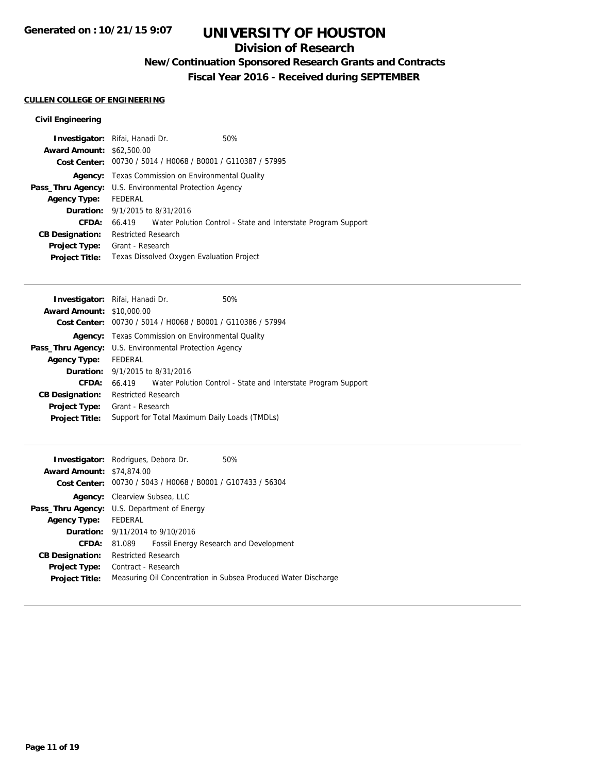### **Division of Research**

# **New/Continuation Sponsored Research Grants and Contracts**

**Fiscal Year 2016 - Received during SEPTEMBER**

### **CULLEN COLLEGE OF ENGINEERING**

### **Civil Engineering**

| <b>Investigator:</b> Rifai, Hanadi Dr.                        | 50%                                                                  |
|---------------------------------------------------------------|----------------------------------------------------------------------|
| <b>Award Amount: \$62,500.00</b>                              |                                                                      |
| Cost Center: 00730 / 5014 / H0068 / B0001 / G110387 / 57995   |                                                                      |
| <b>Agency:</b> Texas Commission on Environmental Quality      |                                                                      |
| <b>Pass_Thru Agency:</b> U.S. Environmental Protection Agency |                                                                      |
| FEDERAL                                                       |                                                                      |
| <b>Duration:</b> 9/1/2015 to 8/31/2016                        |                                                                      |
|                                                               | 66.419 Water Polution Control - State and Interstate Program Support |
| <b>Restricted Research</b>                                    |                                                                      |
| Grant - Research                                              |                                                                      |
|                                                               |                                                                      |
|                                                               | Texas Dissolved Oxygen Evaluation Project                            |

|                                                        | Investigator: Rifai, Hanadi Dr.        | 50%                                                                  |
|--------------------------------------------------------|----------------------------------------|----------------------------------------------------------------------|
| <b>Award Amount: \$10,000.00</b>                       |                                        |                                                                      |
|                                                        |                                        | Cost Center: 00730 / 5014 / H0068 / B0001 / G110386 / 57994          |
|                                                        |                                        | <b>Agency:</b> Texas Commission on Environmental Quality             |
| Pass_Thru Agency: U.S. Environmental Protection Agency |                                        |                                                                      |
| <b>Agency Type:</b>                                    | FEDERAL                                |                                                                      |
|                                                        | <b>Duration:</b> 9/1/2015 to 8/31/2016 |                                                                      |
| CFDA:                                                  |                                        | 66.419 Water Polution Control - State and Interstate Program Support |
| <b>CB Designation:</b>                                 | <b>Restricted Research</b>             |                                                                      |
| <b>Project Type:</b>                                   | Grant - Research                       |                                                                      |
| <b>Project Title:</b>                                  |                                        | Support for Total Maximum Daily Loads (TMDLs)                        |
|                                                        |                                        |                                                                      |

|                                  | <b>Investigator:</b> Rodrigues, Debora Dr.                  | 50%                                                            |  |
|----------------------------------|-------------------------------------------------------------|----------------------------------------------------------------|--|
| <b>Award Amount: \$74,874,00</b> |                                                             |                                                                |  |
|                                  | Cost Center: 00730 / 5043 / H0068 / B0001 / G107433 / 56304 |                                                                |  |
|                                  | <b>Agency:</b> Clearview Subsea, LLC                        |                                                                |  |
|                                  | <b>Pass_Thru Agency:</b> U.S. Department of Energy          |                                                                |  |
| <b>Agency Type:</b>              | FEDERAL                                                     |                                                                |  |
|                                  | <b>Duration:</b> 9/11/2014 to 9/10/2016                     |                                                                |  |
| <b>CFDA:</b>                     | 81.089                                                      | Fossil Energy Research and Development                         |  |
| <b>CB Designation:</b>           | <b>Restricted Research</b>                                  |                                                                |  |
| <b>Project Type:</b>             | Contract - Research                                         |                                                                |  |
| <b>Project Title:</b>            |                                                             | Measuring Oil Concentration in Subsea Produced Water Discharge |  |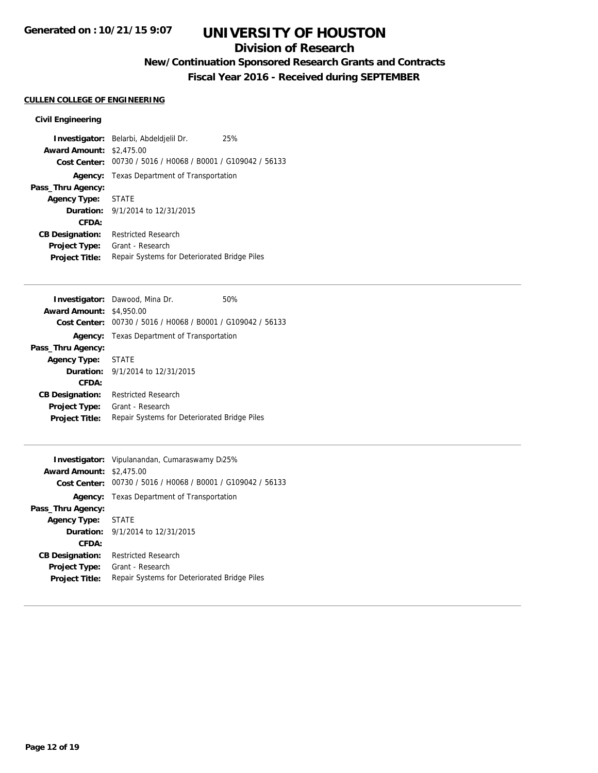### **Division of Research**

# **New/Continuation Sponsored Research Grants and Contracts**

**Fiscal Year 2016 - Received during SEPTEMBER**

### **CULLEN COLLEGE OF ENGINEERING**

### **Civil Engineering**

|                                 | Investigator: Belarbi, Abdeldjelil Dr.                      | 25% |
|---------------------------------|-------------------------------------------------------------|-----|
| <b>Award Amount: \$2,475.00</b> |                                                             |     |
|                                 | Cost Center: 00730 / 5016 / H0068 / B0001 / G109042 / 56133 |     |
|                                 | <b>Agency:</b> Texas Department of Transportation           |     |
| Pass_Thru Agency:               |                                                             |     |
| Agency Type: STATE              |                                                             |     |
|                                 | <b>Duration:</b> 9/1/2014 to 12/31/2015                     |     |
| CFDA:                           |                                                             |     |
| <b>CB Designation:</b>          | <b>Restricted Research</b>                                  |     |
| Project Type:                   | Grant - Research                                            |     |
| <b>Project Title:</b>           | Repair Systems for Deteriorated Bridge Piles                |     |

|                                 | <b>Investigator:</b> Dawood, Mina Dr.                       | 50% |
|---------------------------------|-------------------------------------------------------------|-----|
| <b>Award Amount: \$4,950.00</b> |                                                             |     |
|                                 | Cost Center: 00730 / 5016 / H0068 / B0001 / G109042 / 56133 |     |
|                                 | <b>Agency:</b> Texas Department of Transportation           |     |
| Pass_Thru Agency:               |                                                             |     |
| <b>Agency Type:</b>             | <b>STATE</b>                                                |     |
|                                 | <b>Duration:</b> $9/1/2014$ to $12/31/2015$                 |     |
| CFDA:                           |                                                             |     |
| <b>CB Designation:</b>          | <b>Restricted Research</b>                                  |     |
| <b>Project Type:</b>            | Grant - Research                                            |     |
| <b>Project Title:</b>           | Repair Systems for Deteriorated Bridge Piles                |     |
|                                 |                                                             |     |

| <b>Investigator:</b> Vipulanandan, Cumaraswamy Di25% |                                                             |
|------------------------------------------------------|-------------------------------------------------------------|
| <b>Award Amount: \$2,475.00</b>                      |                                                             |
|                                                      | Cost Center: 00730 / 5016 / H0068 / B0001 / G109042 / 56133 |
|                                                      | Agency: Texas Department of Transportation                  |
| Pass_Thru Agency:                                    |                                                             |
| <b>Agency Type: STATE</b>                            |                                                             |
|                                                      | <b>Duration:</b> $9/1/2014$ to $12/31/2015$                 |
| CFDA:                                                |                                                             |
| <b>CB Designation:</b>                               | Restricted Research                                         |
| <b>Project Type:</b>                                 | Grant - Research                                            |
| <b>Project Title:</b>                                | Repair Systems for Deteriorated Bridge Piles                |
|                                                      |                                                             |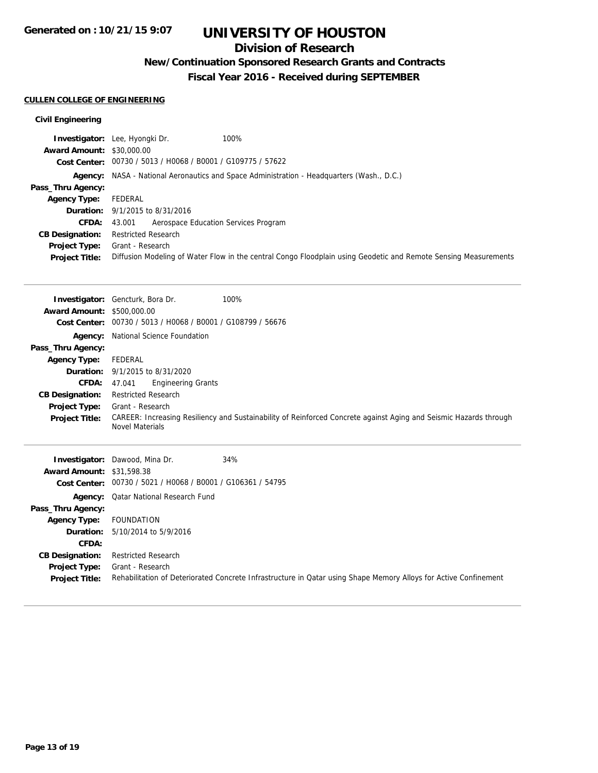## **Division of Research**

**New/Continuation Sponsored Research Grants and Contracts**

**Fiscal Year 2016 - Received during SEPTEMBER**

### **CULLEN COLLEGE OF ENGINEERING**

### **Civil Engineering**

|                                  | 100%<br><b>Investigator:</b> Lee, Hyongki Dr.                                                                   |
|----------------------------------|-----------------------------------------------------------------------------------------------------------------|
| <b>Award Amount: \$30,000.00</b> |                                                                                                                 |
|                                  | Cost Center: 00730 / 5013 / H0068 / B0001 / G109775 / 57622                                                     |
|                                  | <b>Agency:</b> NASA - National Aeronautics and Space Administration - Headquarters (Wash., D.C.)                |
| Pass_Thru Agency:                |                                                                                                                 |
| <b>Agency Type:</b>              | FEDERAL                                                                                                         |
|                                  | <b>Duration:</b> 9/1/2015 to 8/31/2016                                                                          |
| <b>CFDA:</b>                     | Aerospace Education Services Program<br>43.001                                                                  |
| <b>CB Designation:</b>           | <b>Restricted Research</b>                                                                                      |
| <b>Project Type:</b>             | Grant - Research                                                                                                |
| <b>Project Title:</b>            | Diffusion Modeling of Water Flow in the central Congo Floodplain using Geodetic and Remote Sensing Measurements |

|                                  | Investigator: Gencturk, Bora Dr.               | 100%                                                                                                              |
|----------------------------------|------------------------------------------------|-------------------------------------------------------------------------------------------------------------------|
| <b>Award Amount:</b>             | \$500,000.00                                   |                                                                                                                   |
| <b>Cost Center:</b>              | 00730 / 5013 / H0068 / B0001 / G108799 / 56676 |                                                                                                                   |
| Agency:                          | National Science Foundation                    |                                                                                                                   |
| Pass_Thru Agency:                |                                                |                                                                                                                   |
| <b>Agency Type:</b>              | <b>FEDERAL</b>                                 |                                                                                                                   |
| Duration:                        | 9/1/2015 to 8/31/2020                          |                                                                                                                   |
| CFDA:                            | <b>Engineering Grants</b><br>47.041            |                                                                                                                   |
| <b>CB Designation:</b>           | <b>Restricted Research</b>                     |                                                                                                                   |
| <b>Project Type:</b>             | Grant - Research                               |                                                                                                                   |
| <b>Project Title:</b>            | <b>Novel Materials</b>                         | CAREER: Increasing Resiliency and Sustainability of Reinforced Concrete against Aging and Seismic Hazards through |
|                                  |                                                |                                                                                                                   |
|                                  | <b>Investigator:</b> Dawood, Mina Dr.          | 34%                                                                                                               |
| <b>Award Amount: \$31,598.38</b> |                                                |                                                                                                                   |
| <b>Cost Center:</b>              | 00730 / 5021 / H0068 / B0001 / G106361 / 54795 |                                                                                                                   |
| Agency:                          | <b>Qatar National Research Fund</b>            |                                                                                                                   |
| Pass_Thru Agency:                |                                                |                                                                                                                   |
| <b>Agency Type:</b>              | <b>FOUNDATION</b>                              |                                                                                                                   |
| Duration:                        | 5/10/2014 to 5/9/2016                          |                                                                                                                   |
| CFDA:                            |                                                |                                                                                                                   |
| <b>CB Designation:</b>           | <b>Restricted Research</b>                     |                                                                                                                   |

**Project Title:** Rehabilitation of Deteriorated Concrete Infrastructure in Qatar using Shape Memory Alloys for Active Confinement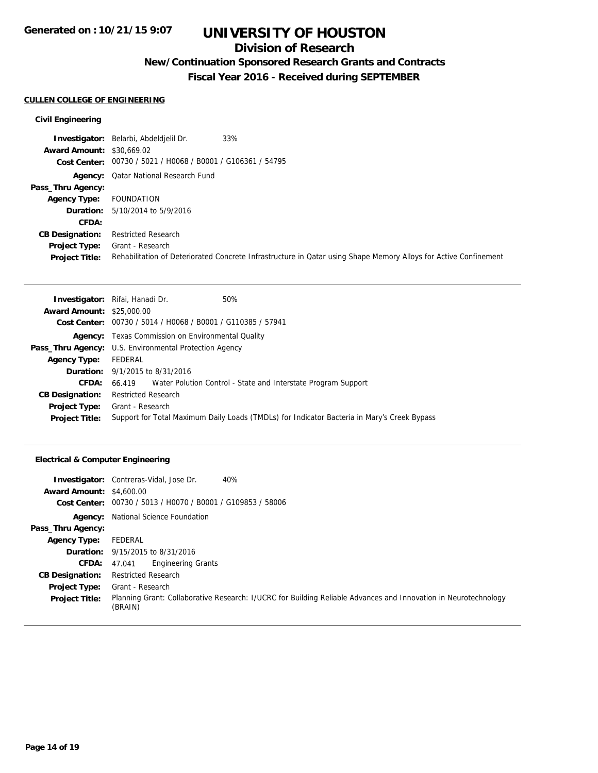### **Division of Research**

# **New/Continuation Sponsored Research Grants and Contracts**

**Fiscal Year 2016 - Received during SEPTEMBER**

### **CULLEN COLLEGE OF ENGINEERING**

### **Civil Engineering**

|                                  | 33%<br><b>Investigator:</b> Belarbi, Abdeldielil Dr.                                                             |
|----------------------------------|------------------------------------------------------------------------------------------------------------------|
| <b>Award Amount: \$30,669.02</b> |                                                                                                                  |
|                                  | Cost Center: 00730 / 5021 / H0068 / B0001 / G106361 / 54795                                                      |
|                                  | <b>Agency:</b> Qatar National Research Fund                                                                      |
| Pass_Thru Agency:                |                                                                                                                  |
| <b>Agency Type:</b>              | FOUNDATION                                                                                                       |
|                                  | <b>Duration:</b> 5/10/2014 to 5/9/2016                                                                           |
| CFDA:                            |                                                                                                                  |
| <b>CB Designation:</b>           | <b>Restricted Research</b>                                                                                       |
| <b>Project Type:</b>             | Grant - Research                                                                                                 |
| <b>Project Title:</b>            | Rehabilitation of Deteriorated Concrete Infrastructure in Qatar using Shape Memory Alloys for Active Confinement |

|                                  | 50%<br><b>Investigator:</b> Rifai, Hanadi Dr.                                               |
|----------------------------------|---------------------------------------------------------------------------------------------|
| <b>Award Amount: \$25,000.00</b> |                                                                                             |
|                                  | Cost Center: 00730 / 5014 / H0068 / B0001 / G110385 / 57941                                 |
|                                  | <b>Agency:</b> Texas Commission on Environmental Quality                                    |
|                                  | Pass_Thru Agency: U.S. Environmental Protection Agency                                      |
| <b>Agency Type:</b>              | FEDERAL                                                                                     |
|                                  | <b>Duration:</b> 9/1/2015 to 8/31/2016                                                      |
| <b>CFDA:</b>                     | 66.419 Water Polution Control - State and Interstate Program Support                        |
| <b>CB Designation:</b>           | Restricted Research                                                                         |
|                                  | <b>Project Type:</b> Grant - Research                                                       |
| <b>Project Title:</b>            | Support for Total Maximum Daily Loads (TMDLs) for Indicator Bacteria in Mary's Creek Bypass |

### **Electrical & Computer Engineering**

|                                 | 40%<br><b>Investigator:</b> Contreras-Vidal, Jose Dr.                                                                      |
|---------------------------------|----------------------------------------------------------------------------------------------------------------------------|
| <b>Award Amount: \$4,600.00</b> |                                                                                                                            |
|                                 | Cost Center: 00730 / 5013 / H0070 / B0001 / G109853 / 58006                                                                |
| Agency:                         | National Science Foundation                                                                                                |
| Pass_Thru Agency:               |                                                                                                                            |
| <b>Agency Type:</b>             | FEDERAL                                                                                                                    |
|                                 | <b>Duration:</b> 9/15/2015 to 8/31/2016                                                                                    |
| <b>CFDA:</b> $47.041$           | <b>Engineering Grants</b>                                                                                                  |
| <b>CB Designation:</b>          | <b>Restricted Research</b>                                                                                                 |
| <b>Project Type:</b>            | Grant - Research                                                                                                           |
| <b>Project Title:</b>           | Planning Grant: Collaborative Research: I/UCRC for Building Reliable Advances and Innovation in Neurotechnology<br>(BRAIN) |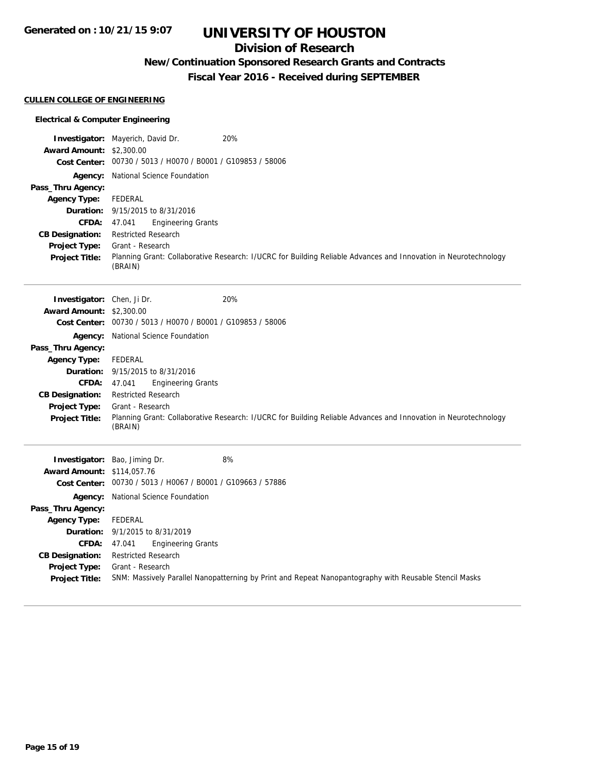### **Division of Research**

## **New/Continuation Sponsored Research Grants and Contracts**

**Fiscal Year 2016 - Received during SEPTEMBER**

### **CULLEN COLLEGE OF ENGINEERING**

### **Electrical & Computer Engineering**

|                                   | Investigator: Mayerich, David Dr.<br>20%                                                                                   |
|-----------------------------------|----------------------------------------------------------------------------------------------------------------------------|
| <b>Award Amount: \$2,300.00</b>   |                                                                                                                            |
|                                   | Cost Center: 00730 / 5013 / H0070 / B0001 / G109853 / 58006                                                                |
|                                   | Agency: National Science Foundation                                                                                        |
| Pass_Thru Agency:                 |                                                                                                                            |
| <b>Agency Type:</b>               | FEDERAL                                                                                                                    |
|                                   | Duration: 9/15/2015 to 8/31/2016                                                                                           |
| <b>CFDA:</b>                      | 47.041<br><b>Engineering Grants</b>                                                                                        |
| <b>CB Designation:</b>            | <b>Restricted Research</b>                                                                                                 |
| <b>Project Type:</b>              | Grant - Research                                                                                                           |
| <b>Project Title:</b>             | Planning Grant: Collaborative Research: I/UCRC for Building Reliable Advances and Innovation in Neurotechnology<br>(BRAIN) |
| Investigator: Chen, Ji Dr.        | 20%                                                                                                                        |
| <b>Award Amount: \$2,300.00</b>   |                                                                                                                            |
|                                   | Cost Center: 00730 / 5013 / H0070 / B0001 / G109853 / 58006                                                                |
|                                   | Agency: National Science Foundation                                                                                        |
| Pass_Thru Agency:                 |                                                                                                                            |
| <b>Agency Type:</b>               | FEDERAL                                                                                                                    |
| Duration:                         | 9/15/2015 to 8/31/2016                                                                                                     |
| CFDA:                             | 47.041<br><b>Engineering Grants</b>                                                                                        |
| <b>CB Designation:</b>            | <b>Restricted Research</b>                                                                                                 |
| <b>Project Type:</b>              | Grant - Research                                                                                                           |
| <b>Project Title:</b>             | Planning Grant: Collaborative Research: I/UCRC for Building Reliable Advances and Innovation in Neurotechnology<br>(BRAIN) |
|                                   | 8%<br>Investigator: Bao, Jiming Dr.                                                                                        |
| <b>Award Amount: \$114,057.76</b> |                                                                                                                            |
|                                   | Cost Center: 00730 / 5013 / H0067 / B0001 / G109663 / 57886                                                                |
|                                   | Agency: National Science Foundation                                                                                        |
| Pass_Thru Agency:                 |                                                                                                                            |
| <b>Agency Type:</b>               | FEDERAL                                                                                                                    |
| Duration:                         | 9/1/2015 to 8/31/2019                                                                                                      |
| <b>CFDA:</b>                      | 47.041<br><b>Engineering Grants</b>                                                                                        |
| <b>CB Designation:</b>            | <b>Restricted Research</b>                                                                                                 |
| <b>Project Type:</b>              | Grant - Research                                                                                                           |
| <b>Project Title:</b>             | SNM: Massively Parallel Nanopatterning by Print and Repeat Nanopantography with Reusable Stencil Masks                     |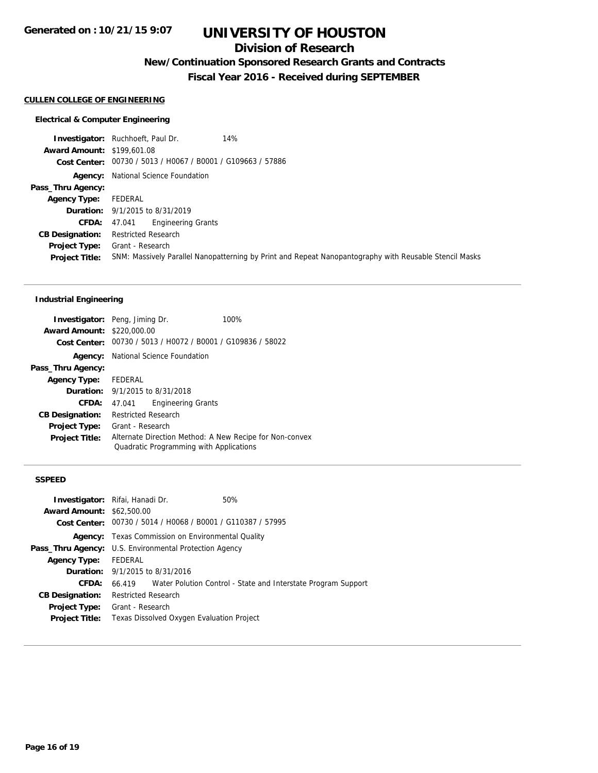### **Division of Research**

## **New/Continuation Sponsored Research Grants and Contracts**

**Fiscal Year 2016 - Received during SEPTEMBER**

#### **CULLEN COLLEGE OF ENGINEERING**

#### **Electrical & Computer Engineering**

**Investigator:** Ruchhoeft, Paul Dr. 14% **Award Amount:** \$199,601.08 **Cost Center:** 00730 / 5013 / H0067 / B0001 / G109663 / 57886 **Agency:** National Science Foundation **Pass\_Thru Agency: Agency Type:** FEDERAL **Duration:** 9/1/2015 to 8/31/2019 **CFDA:** 47.041 Engineering Grants **CB Designation:** Restricted Research **Project Type:** Grant - Research **Project Title:** SNM: Massively Parallel Nanopatterning by Print and Repeat Nanopantography with Reusable Stencil Masks

### **Industrial Engineering**

| <b>Investigator:</b> Peng, Jiming Dr. |                                                                                                    |                           | 100% |
|---------------------------------------|----------------------------------------------------------------------------------------------------|---------------------------|------|
| <b>Award Amount:</b>                  | \$220,000.00                                                                                       |                           |      |
|                                       | Cost Center: 00730 / 5013 / H0072 / B0001 / G109836 / 58022                                        |                           |      |
|                                       | <b>Agency:</b> National Science Foundation                                                         |                           |      |
| Pass_Thru Agency:                     |                                                                                                    |                           |      |
| <b>Agency Type:</b>                   | FEDERAL                                                                                            |                           |      |
|                                       | <b>Duration:</b> 9/1/2015 to 8/31/2018                                                             |                           |      |
| <b>CFDA:</b>                          | 47.041                                                                                             | <b>Engineering Grants</b> |      |
| <b>CB Designation:</b>                | <b>Restricted Research</b>                                                                         |                           |      |
| <b>Project Type:</b>                  | Grant - Research                                                                                   |                           |      |
| <b>Project Title:</b>                 | Alternate Direction Method: A New Recipe for Non-convex<br>Quadratic Programming with Applications |                           |      |

#### **SSPEED**

|                                  | <b>Investigator:</b> Rifai, Hanadi Dr.                        | 50%                                                                  |
|----------------------------------|---------------------------------------------------------------|----------------------------------------------------------------------|
| <b>Award Amount: \$62,500.00</b> |                                                               |                                                                      |
|                                  | Cost Center: 00730 / 5014 / H0068 / B0001 / G110387 / 57995   |                                                                      |
|                                  | <b>Agency:</b> Texas Commission on Environmental Quality      |                                                                      |
|                                  | <b>Pass_Thru Agency:</b> U.S. Environmental Protection Agency |                                                                      |
| <b>Agency Type:</b>              | FEDERAL                                                       |                                                                      |
|                                  | <b>Duration:</b> 9/1/2015 to 8/31/2016                        |                                                                      |
| <b>CFDA:</b>                     |                                                               | 66.419 Water Polution Control - State and Interstate Program Support |
| <b>CB Designation:</b>           | <b>Restricted Research</b>                                    |                                                                      |
| <b>Project Type:</b>             | Grant - Research                                              |                                                                      |
| <b>Project Title:</b>            | Texas Dissolved Oxygen Evaluation Project                     |                                                                      |
|                                  |                                                               |                                                                      |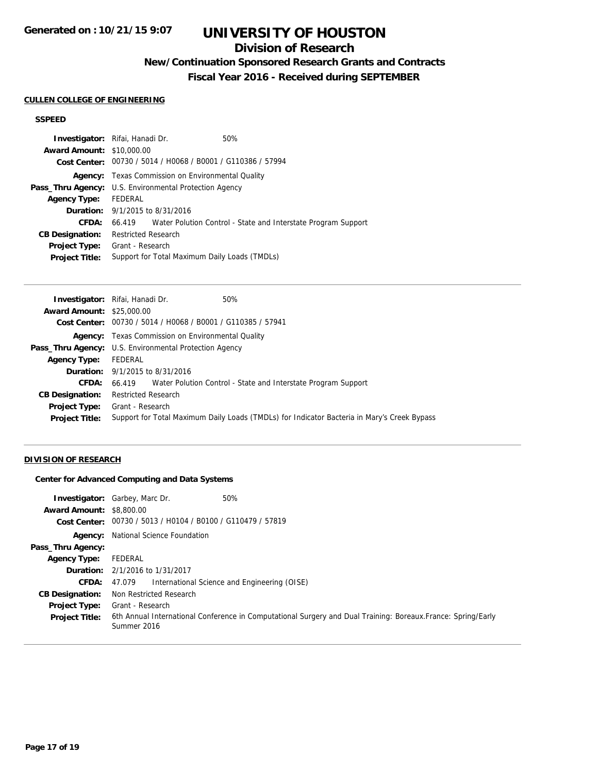## **Division of Research**

## **New/Continuation Sponsored Research Grants and Contracts**

**Fiscal Year 2016 - Received during SEPTEMBER**

#### **CULLEN COLLEGE OF ENGINEERING**

### **SSPEED**

|                                                               | <b>Investigator:</b> Rifai, Hanadi Dr. | 50%                                                                  |
|---------------------------------------------------------------|----------------------------------------|----------------------------------------------------------------------|
| <b>Award Amount: \$10,000.00</b>                              |                                        |                                                                      |
|                                                               |                                        | Cost Center: 00730 / 5014 / H0068 / B0001 / G110386 / 57994          |
|                                                               |                                        | <b>Agency:</b> Texas Commission on Environmental Quality             |
| <b>Pass_Thru Agency:</b> U.S. Environmental Protection Agency |                                        |                                                                      |
| <b>Agency Type:</b>                                           | FEDERAL                                |                                                                      |
|                                                               | <b>Duration:</b> 9/1/2015 to 8/31/2016 |                                                                      |
| CFDA:                                                         |                                        | 66.419 Water Polution Control - State and Interstate Program Support |
| <b>CB Designation:</b>                                        | <b>Restricted Research</b>             |                                                                      |
| <b>Project Type:</b>                                          | Grant - Research                       |                                                                      |
| <b>Project Title:</b>                                         |                                        | Support for Total Maximum Daily Loads (TMDLs)                        |

| <b>Investigator:</b> Rifai, Hanadi Dr.<br>50%                                               |
|---------------------------------------------------------------------------------------------|
| <b>Award Amount: \$25,000.00</b>                                                            |
| Cost Center: 00730 / 5014 / H0068 / B0001 / G110385 / 57941                                 |
| <b>Agency:</b> Texas Commission on Environmental Quality                                    |
| <b>Pass_Thru Agency:</b> U.S. Environmental Protection Agency                               |
| FEDERAL                                                                                     |
| <b>Duration:</b> 9/1/2015 to 8/31/2016                                                      |
| 66.419 Water Polution Control - State and Interstate Program Support                        |
| <b>Restricted Research</b>                                                                  |
| Grant - Research                                                                            |
| Support for Total Maximum Daily Loads (TMDLs) for Indicator Bacteria in Mary's Creek Bypass |
|                                                                                             |

### **DIVISION OF RESEARCH**

### **Center for Advanced Computing and Data Systems**

| <b>Award Amount: \$8,800.00</b>               | 50%<br><b>Investigator:</b> Garbey, Marc Dr.<br>Cost Center: 00730 / 5013 / H0104 / B0100 / G110479 / 57819                                      |
|-----------------------------------------------|--------------------------------------------------------------------------------------------------------------------------------------------------|
|                                               | <b>Agency:</b> National Science Foundation                                                                                                       |
| Pass_Thru Agency:                             |                                                                                                                                                  |
| <b>Agency Type:</b>                           | FEDERAL                                                                                                                                          |
|                                               | <b>Duration:</b> 2/1/2016 to 1/31/2017                                                                                                           |
| CFDA:                                         | International Science and Engineering (OISE)<br>47.079                                                                                           |
| <b>CB Designation:</b>                        | Non Restricted Research                                                                                                                          |
| <b>Project Type:</b><br><b>Project Title:</b> | Grant - Research<br>6th Annual International Conference in Computational Surgery and Dual Training: Boreaux. France: Spring/Early<br>Summer 2016 |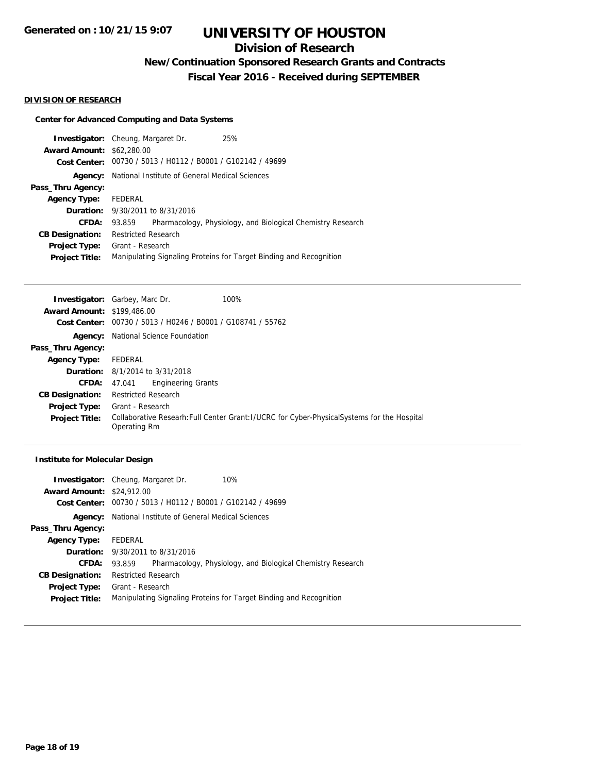### **Division of Research**

**New/Continuation Sponsored Research Grants and Contracts**

**Fiscal Year 2016 - Received during SEPTEMBER**

#### **DIVISION OF RESEARCH**

### **Center for Advanced Computing and Data Systems**

|                                  | <b>Investigator:</b> Cheung, Margaret Dr. | 25%                                                         |                                                                    |
|----------------------------------|-------------------------------------------|-------------------------------------------------------------|--------------------------------------------------------------------|
| <b>Award Amount: \$62,280.00</b> |                                           |                                                             |                                                                    |
|                                  |                                           | Cost Center: 00730 / 5013 / H0112 / B0001 / G102142 / 49699 |                                                                    |
| Agency:                          |                                           | National Institute of General Medical Sciences              |                                                                    |
| Pass_Thru Agency:                |                                           |                                                             |                                                                    |
| <b>Agency Type:</b>              | FEDERAL                                   |                                                             |                                                                    |
|                                  | <b>Duration:</b> 9/30/2011 to 8/31/2016   |                                                             |                                                                    |
| CFDA:                            | 93.859                                    |                                                             | Pharmacology, Physiology, and Biological Chemistry Research        |
| <b>CB Designation:</b>           | <b>Restricted Research</b>                |                                                             |                                                                    |
| <b>Project Type:</b>             | Grant - Research                          |                                                             |                                                                    |
| <b>Project Title:</b>            |                                           |                                                             | Manipulating Signaling Proteins for Target Binding and Recognition |
|                                  |                                           |                                                             |                                                                    |

|                                   | 100%<br><b>Investigator:</b> Garbey, Marc Dr.                                                                |
|-----------------------------------|--------------------------------------------------------------------------------------------------------------|
| <b>Award Amount: \$199,486.00</b> |                                                                                                              |
| <b>Cost Center:</b>               | 00730 / 5013 / H0246 / B0001 / G108741 / 55762                                                               |
| Agency:                           | National Science Foundation                                                                                  |
| Pass_Thru Agency:                 |                                                                                                              |
| <b>Agency Type:</b>               | FEDERAL                                                                                                      |
|                                   | <b>Duration:</b> 8/1/2014 to 3/31/2018                                                                       |
| <b>CFDA:</b>                      | <b>Engineering Grants</b><br>47.041                                                                          |
| <b>CB Designation:</b>            | <b>Restricted Research</b>                                                                                   |
| <b>Project Type:</b>              | Grant - Research                                                                                             |
| <b>Project Title:</b>             | Collaborative Researh: Full Center Grant: I/UCRC for Cyber-Physical Systems for the Hospital<br>Operating Rm |
|                                   |                                                                                                              |

### **Institute for Molecular Design**

|                                  | <b>Investigator:</b> Cheung, Margaret Dr.                   | 10%                                                                |
|----------------------------------|-------------------------------------------------------------|--------------------------------------------------------------------|
| <b>Award Amount: \$24,912.00</b> |                                                             |                                                                    |
|                                  | Cost Center: 00730 / 5013 / H0112 / B0001 / G102142 / 49699 |                                                                    |
| Agency:                          | National Institute of General Medical Sciences              |                                                                    |
| Pass_Thru Agency:                |                                                             |                                                                    |
| <b>Agency Type:</b>              | FEDERAL                                                     |                                                                    |
|                                  | <b>Duration:</b> 9/30/2011 to 8/31/2016                     |                                                                    |
| CFDA:                            | 93.859                                                      | Pharmacology, Physiology, and Biological Chemistry Research        |
| <b>CB Designation:</b>           | <b>Restricted Research</b>                                  |                                                                    |
| <b>Project Type:</b>             | Grant - Research                                            |                                                                    |
| <b>Project Title:</b>            |                                                             | Manipulating Signaling Proteins for Target Binding and Recognition |
|                                  |                                                             |                                                                    |